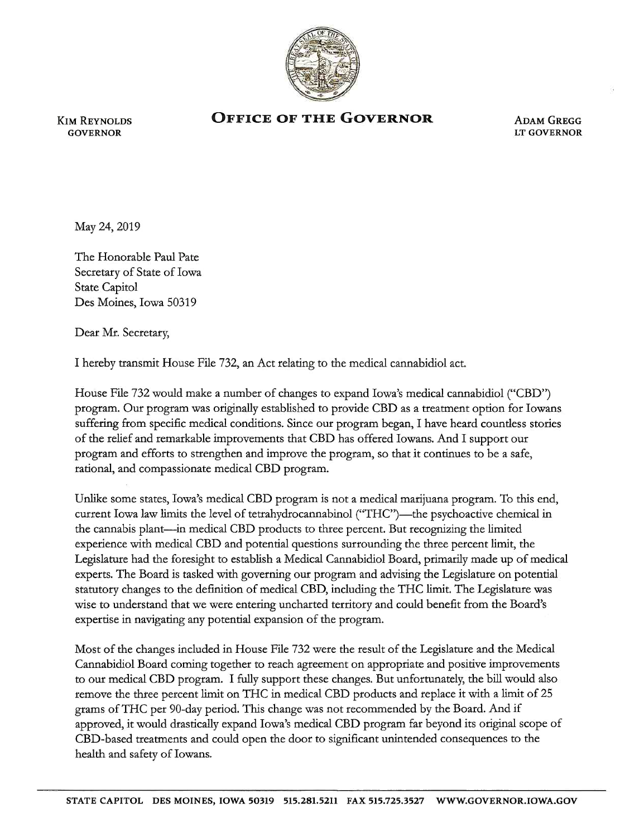

KIM REYNOLDS **GOVERNOR** 

## **OFFICE OF THE GOVERNOR**

ADAM GREGG LT GOVERNOR

May 24, 2019

The Honorable Paul Pate Secretary of State of Iowa State Capitol Des Moines, Iowa 50319

Dear Mr. Secretary,

I hereby transmit House File 732, an Act relating to the medical cannabidiol act.

House File 732 would make a number of changes to expand Iowa's medical cannabidiol ("CBD") program. Our program was originally established to provide CBD as a treatment option for Iowans suffering from specific medical conditions. Since our program began, I have heard countless stories of the relief and remarkable improvements that CBD has offered Iowans. And I support our program and efforts to strengthen and improve the program, so that it continues to be a safe, rational, and compassionate medical CBD program.

Unlike some states, Iowa's medical CBD program is not a medical marijuana program. To this end, current Iowa law limits the level of tetrahydrocannabinol ("THC")—the psychoactive chemical in the cannabis plant-in medical CBD products to three percent. But recognizing the limited experience with medical CBD and potential questions surrounding the three percent limit, the Legislature had the foresight to establish a Medical Cannabidiol Board, primarily made up of medical experts. The Board is tasked with governing our program and advising the Legislature on potential statutory changes to the definition of medical CBD, including the THC limit. The Legislature was wise to understand that we were entering uncharted territory and could benefit from the Board's expertise in navigating any potential expansion of the program.

Most of the changes included in House File 732 were the result of the Legislature and the Medical Cannabidiol Board corning together to reach agreement on appropriate and positive improvements to our medical CBD program. I fully support these changes. But unfortunately, the bill would also remove the three percent limit on THC in medical CBD products and replace it with a limit of 25 grams of THC per 90-day period. This change was not recommended by the Board. And if approved, it would drastically expand Iowa's medical CBD program far beyond its original scope of CBD-based treatments and could open the door to significant unintended consequences to the health and safety of Iowans.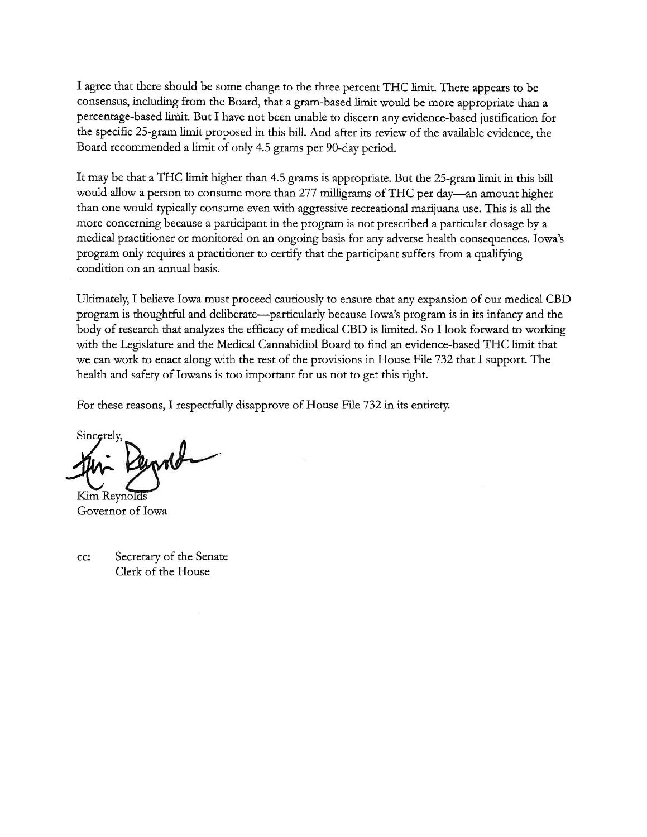I agree that there should be some change to the three percent THC limit. There appears to be consensus, including from the Board, that a gram-based limit would be more appropriate than a percentage-based limit. But I have not been unable to discern any evidence-based justification for the specific 25-gram limit proposed in this bill. And after its review of the available evidence, the Board recommended a limit of only 4.5 grams per 90-day period.

It may be that a THC limit higher than 4.5 grams is appropriate. But the 25-gram limit in this bill would allow a person to consume more than 277 milligrams of THC per day-an amount higher than one would typically consume even with aggressive recreational marijuana use. This is all the more concerning because a participant in the program is not prescribed a particular dosage by a medical practitioner or monitored on an ongoing basis for any adverse health consequences. Iowa's program only requires a practitioner to certify that the participant suffers from a qualifying condition on an annual basis.

Ultimately, I believe Iowa must proceed cautiously to ensure that any expansion of our medical CBD program is thoughtful and deliberate-particularly because Iowa's program is in its infancy and the body of research that analyzes the efficacy of medical CBD is limited. So I look forward to working with the Legislature and the Medical Cannabidiol Board to find an evidence-based THC limit that we can work to enact along with the rest of the provisions in House File 732 that I support. The health and safety of Iowans is too important for us not to get this right.

For these reasons, I respectfully disapprove of House File 732 in its entirety.

Sincerely ~y,-~

Kim Reynolds Governor of Iowa

cc: Secretary of the Senate Clerk of the House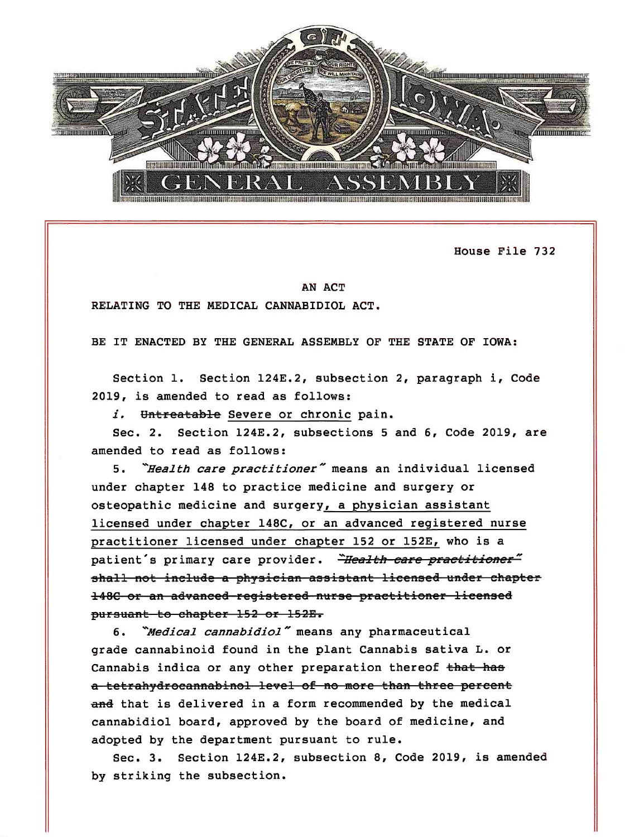

House File 732

## AN ACT

RELATING TO THE MEDICAL CANNABIDIOL ACT .

BE IT ENACTED BY THE GENERAL ASSEMBLY OF THE STATE OF IOWA :

Section 1. Section 124E.2, subsection 2, paragraph i, Code 2019, is amended to read as follows:

i. Untreatable Severe or chronic pain.

Sec. 2. Section 124E.2, subsections 5 and 6, Code 2019, are amended to read as follows:

5. *"Health care practitioner"* means an individual licensed under chapter 148 to practice medicine and surgery or osteopathic medicine and surgery, a physician assistant licensed under chapter 148C, or an advanced registered nurse practitioner licensed under chapter 152 or 152E, who is a patient's primary care provider. *Health care practitioner*" shall not include a physician assistant licensed under chapter 148C or an advanced reqistered nurse practitioner licensed pursuant to chapter 152 or 152E.

6. *''Medical cannabidiol* - means any pharmaceutical grade cannabinoid found in the plant Cannabis sativa L. or Cannabis indica or any other preparation thereof that has a tetrahydreeannabinel level of no mere than three percent and that is delivered in a form recommended by the medical cannabidiol board, approved by the board of medicine, and adopted by the department pursuant to rule.

Sec. 3. Section 124E.2, subsection 8, Code 2019, is amended by striking the subsection.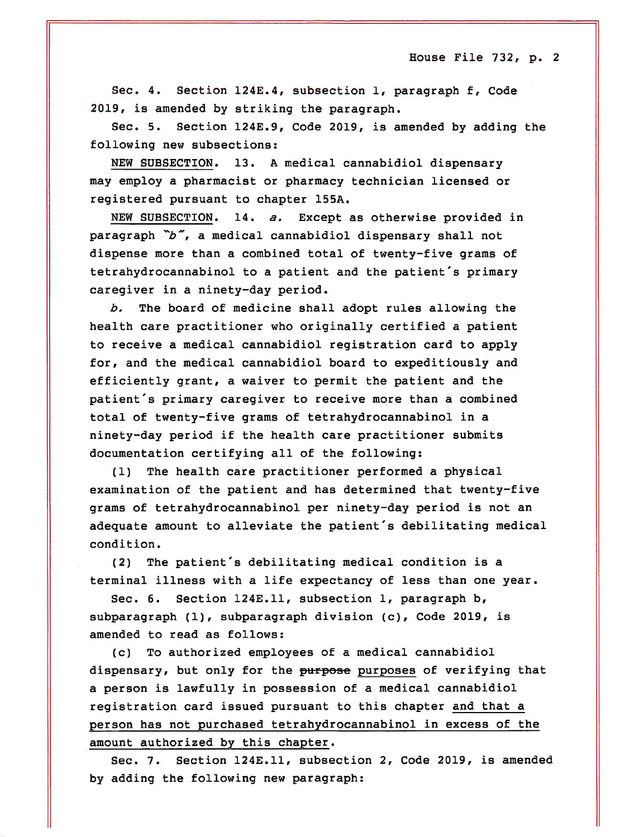House File  $732$ , p. 2

Sec. 4. Section 124E.4, subsection 1, paragraph f, Code 2019, is amended by striking the paragraph.

Sec. 5. Section 124E.9, Code 2019, is amended by adding the following new subsections:

NEW SUBSECTION. 13. A medical cannabidiol dispensary may employ a pharmacist or pharmacy technician licensed or registered pursuant to chapter 155A.

NEW SUBSECTION. 14. *a.* Except as otherwise provided in paragraph  $\tilde{b}$ , a medical cannabidiol dispensary shall not dispense more than a combined total of twenty-five grams of tetrahydrocannabinol to a patient and the patient's primary caregiver in *a* ninety-day period.

*b.* The board of medicine shall adopt rules allowing the health care practitioner who originally certified *a* patient to receive *a* medical cannabidiol registration card to apply for, and the medical cannabidiol board to expeditiously and efficiently grant, a waiver to permit the patient and the patient's primary caregiver to receive more than a combined total of twenty-five grams of tetrahydrocannabinol in a ninety-day period if the health care practitioner submits documentation certifying all of the following:

(1) The health care practitioner performed a physical examination of the patient and has determined that twenty-five grams of tetrahydrocannabinol per ninety-day period is not an adequate amount to alleviate the patient's debilitating medical condition.

(2) The patient's debilitating medical condition is a terminal illness with a life expectancy of less than one year.

Sec. 6. Section 124E.ll, subsection 1, paragraph b, subparagraph (1), subparagraph division (c), Code 2019, is amended to read as follows:

(c) To authorized employees of *a* medical cannabidiol dispensary, but only for the purpose purposes of verifying that a person is lawfully in possession of a medical cannabidiol registration card issued pursuant to this chapter and that a person has not purchased tetrahydrocannabinol in excess of the amount authorized by this chapter.

Sec. 7. Section 124E.ll, subsection 2, Code 2019, is amended by adding the following new paragraph: